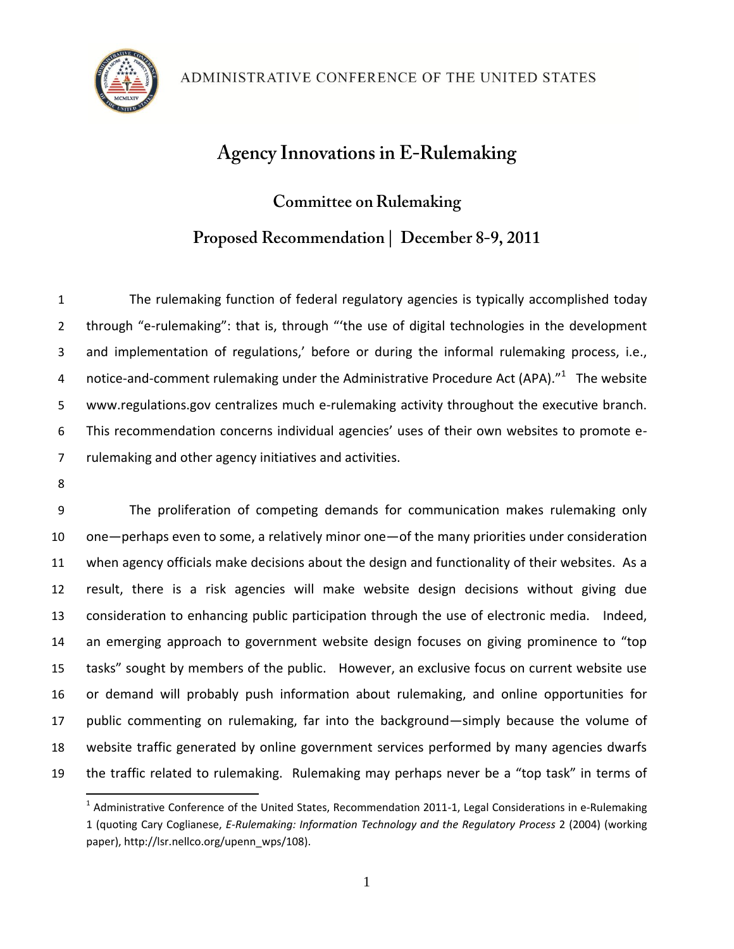# **Agency Innovations in E-Rulemaking**

**Committee on Rulemaking** Proposed Recommendation | December 8-9, 2011

 The rulemaking function of federal regulatory agencies is typically accomplished today through "e-rulemaking": that is, through "'the use of digital technologies in the development and implementation of regulations,' before or during the informal rulemaking process, i.e., 4 notice-and-comment rulemaking under the Administrative Procedure Act (APA)."<sup>1</sup> The website www.regulations.gov centralizes much e-rulemaking activity throughout the executive branch. This recommendation concerns individual agencies' uses of their own websites to promote e-rulemaking and other agency initiatives and activities.

 $\overline{\phantom{a}}$ 

 The proliferation of competing demands for communication makes rulemaking only one—perhaps even to some, a relatively minor one—of the many priorities under consideration when agency officials make decisions about the design and functionality of their websites. As a result, there is a risk agencies will make website design decisions without giving due consideration to enhancing public participation through the use of electronic media. Indeed, an emerging approach to government website design focuses on giving prominence to "top tasks" sought by members of the public. However, an exclusive focus on current website use or demand will probably push information about rulemaking, and online opportunities for public commenting on rulemaking, far into the background—simply because the volume of website traffic generated by online government services performed by many agencies dwarfs the traffic related to rulemaking. Rulemaking may perhaps never be a "top task" in terms of

 $^1$  Administrative Conference of the United States, Recommendation 2011-1, Legal Considerations in e-Rulemaking 1 (quoting Cary Coglianese, *E-Rulemaking: Information Technology and the Regulatory Process* 2 (2004) (working paper), http://lsr.nellco.org/upenn\_wps/108).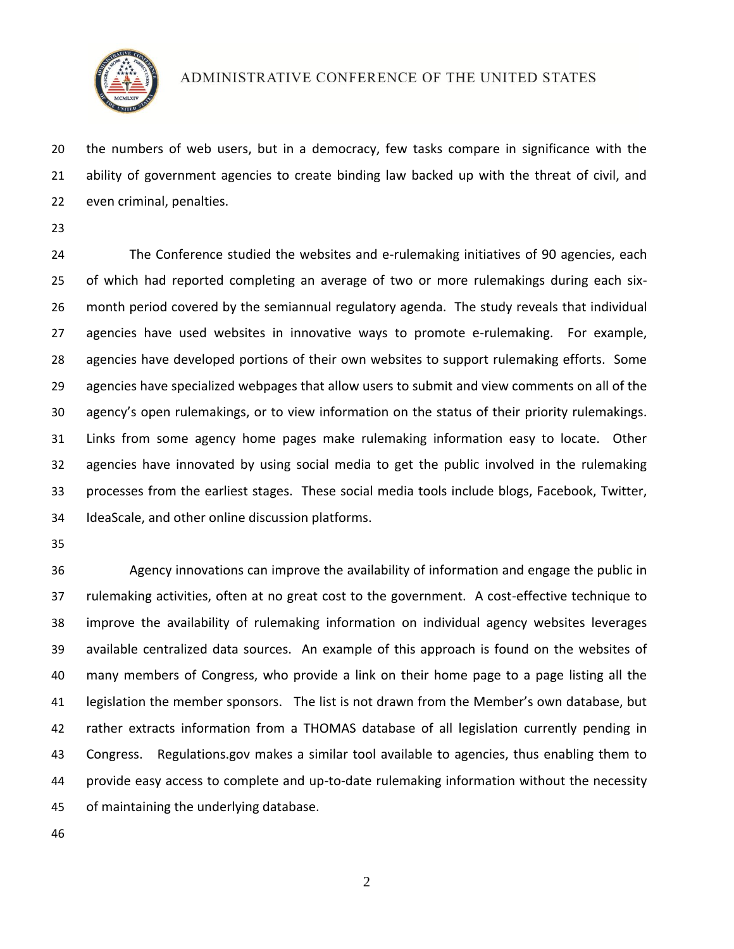

#### ADMINISTRATIVE CONFERENCE OF THE UNITED STATES

 the numbers of web users, but in a democracy, few tasks compare in significance with the ability of government agencies to create binding law backed up with the threat of civil, and even criminal, penalties.

 The Conference studied the websites and e-rulemaking initiatives of 90 agencies, each of which had reported completing an average of two or more rulemakings during each six- month period covered by the semiannual regulatory agenda. The study reveals that individual agencies have used websites in innovative ways to promote e-rulemaking. For example, agencies have developed portions of their own websites to support rulemaking efforts. Some agencies have specialized webpages that allow users to submit and view comments on all of the agency's open rulemakings, or to view information on the status of their priority rulemakings. Links from some agency home pages make rulemaking information easy to locate. Other agencies have innovated by using social media to get the public involved in the rulemaking processes from the earliest stages. These social media tools include blogs, Facebook, Twitter, IdeaScale, and other online discussion platforms.

 Agency innovations can improve the availability of information and engage the public in rulemaking activities, often at no great cost to the government. A cost-effective technique to improve the availability of rulemaking information on individual agency websites leverages available centralized data sources. An example of this approach is found on the websites of many members of Congress, who provide a link on their home page to a page listing all the legislation the member sponsors. The list is not drawn from the Member's own database, but rather extracts information from a THOMAS database of all legislation currently pending in Congress. Regulations.gov makes a similar tool available to agencies, thus enabling them to provide easy access to complete and up-to-date rulemaking information without the necessity of maintaining the underlying database.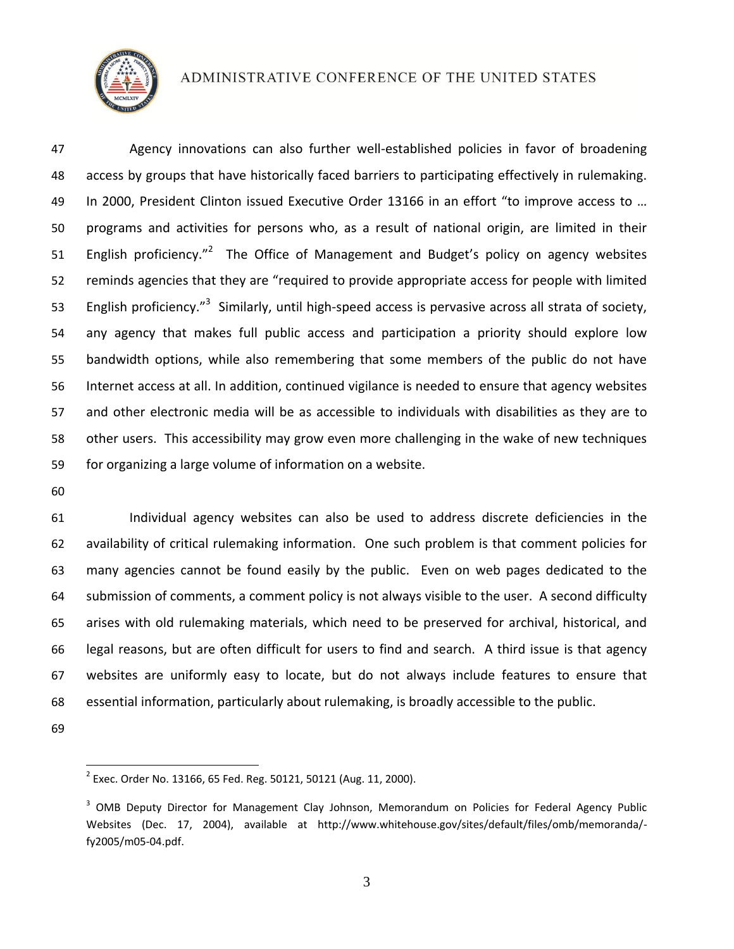

### ADMINISTRATIVE CONFERENCE OF THE UNITED STATES

 Agency innovations can also further well-established policies in favor of broadening access by groups that have historically faced barriers to participating effectively in rulemaking. 49 In 2000, President Clinton issued Executive Order 13166 in an effort "to improve access to ... programs and activities for persons who, as a result of national origin, are limited in their 51 English proficiency."<sup>2</sup> The Office of Management and Budget's policy on agency websites reminds agencies that they are "required to provide appropriate access for people with limited 53 English proficiency.<sup>"3</sup> Similarly, until high-speed access is pervasive across all strata of society, any agency that makes full public access and participation a priority should explore low bandwidth options, while also remembering that some members of the public do not have Internet access at all. In addition, continued vigilance is needed to ensure that agency websites and other electronic media will be as accessible to individuals with disabilities as they are to other users. This accessibility may grow even more challenging in the wake of new techniques for organizing a large volume of information on a website.

 Individual agency websites can also be used to address discrete deficiencies in the availability of critical rulemaking information. One such problem is that comment policies for many agencies cannot be found easily by the public. Even on web pages dedicated to the submission of comments, a comment policy is not always visible to the user. A second difficulty arises with old rulemaking materials, which need to be preserved for archival, historical, and legal reasons, but are often difficult for users to find and search. A third issue is that agency websites are uniformly easy to locate, but do not always include features to ensure that essential information, particularly about rulemaking, is broadly accessible to the public.

 $\overline{\phantom{a}}$ 

 $^2$  Exec. Order No. 13166, 65 Fed. Reg. 50121, 50121 (Aug. 11, 2000).

<sup>&</sup>lt;sup>3</sup> OMB Deputy Director for Management Clay Johnson, Memorandum on Policies for Federal Agency Public Websites (Dec. 17, 2004), available at http://www.whitehouse.gov/sites/default/files/omb/memoranda/ fy2005/m05-04.pdf.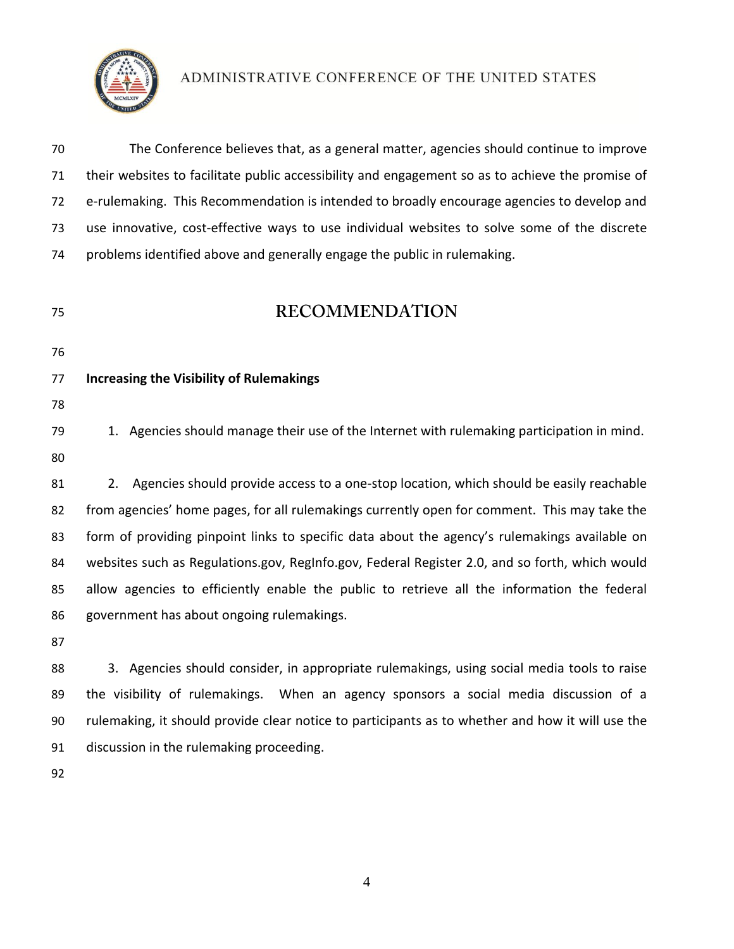

ADMINISTRATIVE CONFERENCE OF THE UNITED STATES

 The Conference believes that, as a general matter, agencies should continue to improve their websites to facilitate public accessibility and engagement so as to achieve the promise of e-rulemaking. This Recommendation is intended to broadly encourage agencies to develop and use innovative, cost-effective ways to use individual websites to solve some of the discrete problems identified above and generally engage the public in rulemaking.

## **RECOMMENDATION**

- 
- 

### **Increasing the Visibility of Rulemakings**

79 1. Agencies should manage their use of the Internet with rulemaking participation in mind. 

 2. Agencies should provide access to a one-stop location, which should be easily reachable from agencies' home pages, for all rulemakings currently open for comment. This may take the 83 form of providing pinpoint links to specific data about the agency's rulemakings available on websites such as Regulations.gov, RegInfo.gov, Federal Register 2.0, and so forth, which would allow agencies to efficiently enable the public to retrieve all the information the federal government has about ongoing rulemakings.

 3. Agencies should consider, in appropriate rulemakings, using social media tools to raise the visibility of rulemakings. When an agency sponsors a social media discussion of a rulemaking, it should provide clear notice to participants as to whether and how it will use the discussion in the rulemaking proceeding.